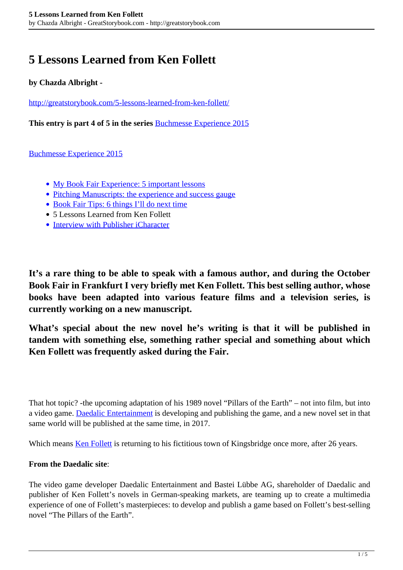# **5 Lessons Learned from Ken Follett**

### **by Chazda Albright -**

<http://greatstorybook.com/5-lessons-learned-from-ken-follett/>

**This entry is part 4 of 5 in the series** [Buchmesse Experience 2015](http://greatstorybook.com/series/book-fair-experience/)

[Buchmesse Experience 2015](http://greatstorybook.com/series/book-fair-experience/)

- [My Book Fair Experience: 5 important lessons](http://greatstorybook.com/my-book-fair-experience-5-important-lessons/)
- [Pitching Manuscripts: the experience and success gauge](http://greatstorybook.com/pitching-manuscripts/)
- [Book Fair Tips: 6 things I'll do next time](http://greatstorybook.com/book-fair-tips-6-things-ill-do-next-time/)
- 5 Lessons Learned from Ken Follett
- [Interview with Publisher iCharacter](http://greatstorybook.com/interview-publisher-icharacter/)

**It's a rare thing to be able to speak with a famous author, and during the October Book Fair in Frankfurt I very briefly met Ken Follett. This best selling author, whose books have been adapted into various feature films and a television series, is currently working on a new manuscript.**

**What's special about the new novel he's writing is that it will be published in tandem with something else, something rather special and something about which Ken Follett was frequently asked during the Fair.**

That hot topic? -the upcoming adaptation of his 1989 novel "Pillars of the Earth" – not into film, but into a video game. [Daedalic Entertainment](http://www.daedalic.de/en#5) is developing and publishing the game, and a new novel set in that same world will be published at the same time, in 2017.

Which means [Ken Follett](http://ken-follett.com/biography/) is returning to his fictitious town of Kingsbridge once more, after 26 years.

#### **From the Daedalic site**:

The video game developer Daedalic Entertainment and Bastei Lübbe AG, shareholder of Daedalic and publisher of Ken Follett's novels in German-speaking markets, are teaming up to create a multimedia experience of one of Follett's masterpieces: to develop and publish a game based on Follett's best-selling novel "The Pillars of the Earth".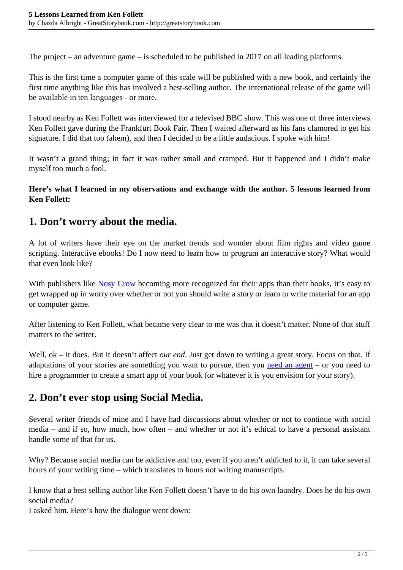The project – an adventure game – is scheduled to be published in 2017 on all leading platforms.

This is the first time a computer game of this scale will be published with a new book, and certainly the first time anything like this has involved a best-selling author. The international release of the game will be available in ten languages - or more.

I stood nearby as Ken Follett was interviewed for a televised BBC show. This was one of three interviews Ken Follett gave during the Frankfurt Book Fair. Then I waited afterward as his fans clamored to get his signature. I did that too (ahem), and then I decided to be a little audacious. I spoke with him!

It wasn't a grand thing; in fact it was rather small and cramped. But it happened and I didn't make myself too much a fool.

**Here's what I learned in my observations and exchange with the author. 5 lessons learned from Ken Follett:**

## **1. Don't worry about the media.**

A lot of writers have their eye on the market trends and wonder about film rights and video game scripting. Interactive ebooks! Do I now need to learn how to program an interactive story? What would that even look like?

With publishers like [Nosy Crow](http://nosycrow.com/apps/) becoming more recognized for their apps than their books, it's easy to get wrapped up in worry over whether or not you should write a story or learn to write material for an app or computer game.

After listening to Ken Follett, what became very clear to me was that it doesn't matter. None of that stuff matters to the writer.

Well, ok – it does. But it doesn't affect *our end*. Just get down to writing a great story. Focus on that. If adaptations of your stories are something you want to pursue, then you [need an agent](http://greatstorybook.com/agents-looking-for-childrens-books/) – or you need to hire a programmer to create a smart app of your book (or whatever it is you envision for your story).

## **2. Don't ever stop using Social Media.**

Several writer friends of mine and I have had discussions about whether or not to continue with social media – and if so, how much, how often – and whether or not it's ethical to have a personal assistant handle some of that for us.

Why? Because social media can be addictive and too, even if you aren't addicted to it, it can take several hours of your writing time – which translates to hours not writing manuscripts.

I know that a best selling author like Ken Follett doesn't have to do his own laundry. Does he do his own social media?

I asked him. Here's how the dialogue went down: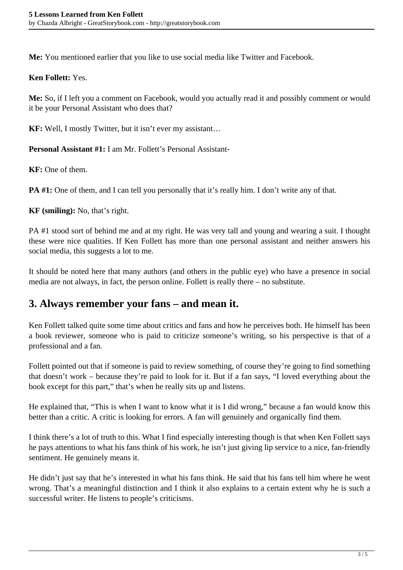**Me:** You mentioned earlier that you like to use social media like Twitter and Facebook.

### **Ken Follett:** Yes.

**Me:** So, if I left you a comment on Facebook, would you actually read it and possibly comment or would it be your Personal Assistant who does that?

**KF:** Well, I mostly Twitter, but it isn't ever my assistant…

**Personal Assistant #1:** I am Mr. Follett's Personal Assistant-

**KF:** One of them.

**PA #1:** One of them, and I can tell you personally that it's really him. I don't write any of that.

**KF (smiling):** No, that's right.

PA #1 stood sort of behind me and at my right. He was very tall and young and wearing a suit. I thought these were nice qualities. If Ken Follett has more than one personal assistant and neither answers his social media, this suggests a lot to me.

It should be noted here that many authors (and others in the public eye) who have a presence in social media are not always, in fact, the person online. Follett is really there – no substitute.

### **3. Always remember your fans – and mean it.**

Ken Follett talked quite some time about critics and fans and how he perceives both. He himself has been a book reviewer, someone who is paid to criticize someone's writing, so his perspective is that of a professional and a fan.

Follett pointed out that if someone is paid to review something, of course they're going to find something that doesn't work – because they're paid to look for it. But if a fan says, "I loved everything about the book except for this part," that's when he really sits up and listens.

He explained that, "This is when I want to know what it is I did wrong," because a fan would know this better than a critic. A critic is looking for errors. A fan will genuinely and organically find them.

I think there's a lot of truth to this. What I find especially interesting though is that when Ken Follett says he pays attentions to what his fans think of his work, he isn't just giving lip service to a nice, fan-friendly sentiment. He genuinely means it.

He didn't just say that he's interested in what his fans think. He said that his fans tell him where he went wrong. That's a meaningful distinction and I think it also explains to a certain extent why he is such a successful writer. He listens to people's criticisms.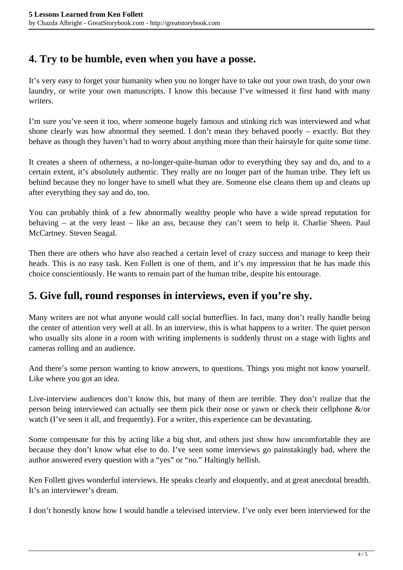### **4. Try to be humble, even when you have a posse.**

It's very easy to forget your humanity when you no longer have to take out your own trash, do your own laundry, or write your own manuscripts. I know this because I've witnessed it first hand with many writers.

I'm sure you've seen it too, where someone hugely famous and stinking rich was interviewed and what shone clearly was how abnormal they seemed. I don't mean they behaved poorly – exactly. But they behave as though they haven't had to worry about anything more than their hairstyle for quite some time.

It creates a sheen of otherness, a no-longer-quite-human odor to everything they say and do, and to a certain extent, it's absolutely authentic. They really are no longer part of the human tribe. They left us behind because they no longer have to smell what they are. Someone else cleans them up and cleans up after everything they say and do, too.

You can probably think of a few abnormally wealthy people who have a wide spread reputation for behaving – at the very least – like an ass, because they can't seem to help it. Charlie Sheen. Paul McCartney. Steven Seagal.

Then there are others who have also reached a certain level of crazy success and manage to keep their heads. This is no easy task. Ken Follett is one of them, and it's my impression that he has made this choice conscientiously. He wants to remain part of the human tribe, despite his entourage.

### **5. Give full, round responses in interviews, even if you're shy.**

Many writers are not what anyone would call social butterflies. In fact, many don't really handle being the center of attention very well at all. In an interview, this is what happens to a writer. The quiet person who usually sits alone in a room with writing implements is suddenly thrust on a stage with lights and cameras rolling and an audience.

And there's some person wanting to know answers, to questions. Things you might not know yourself. Like where you got an idea.

Live-interview audiences don't know this, but many of them are terrible. They don't realize that the person being interviewed can actually see them pick their nose or yawn or check their cellphone &/or watch (I've seen it all, and frequently). For a writer, this experience can be devastating.

Some compensate for this by acting like a big shot, and others just show how uncomfortable they are because they don't know what else to do. I've seen some interviews go painstakingly bad, where the author answered every question with a "yes" or "no." Haltingly hellish.

Ken Follett gives wonderful interviews. He speaks clearly and eloquently, and at great anecdotal breadth. It's an interviewer's dream.

I don't honestly know how I would handle a televised interview. I've only ever been interviewed for the